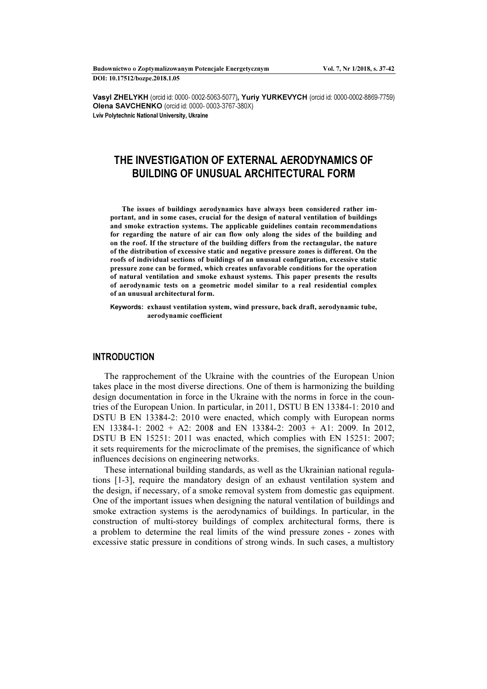Budownictwo o Zoptymalizowanym Potencjale Energetycznym Vol. 7, Nr 1/2018, s. 37-42 DOI: 10.17512/bozpe.2018.1.05

Vasyl ZHELYKH (orcid id: 0000- 0002-5063-5077), Yuriy YURKEVYCH (orcid id: 0000-0002-8869-7759) Olena SAVCHENKO (orcid id: 0000- 0003-3767-380X) Lviv Polytechnic National University, Ukraine

# THE INVESTIGATION OF EXTERNAL AERODYNAMICS OF BUILDING OF UNUSUAL ARCHITECTURAL FORM

The issues of buildings aerodynamics have always been considered rather important, and in some cases, crucial for the design of natural ventilation of buildings and smoke extraction systems. The applicable guidelines contain recommendations for regarding the nature of air can flow only along the sides of the building and on the roof. If the structure of the building differs from the rectangular, the nature of the distribution of excessive static and negative pressure zones is different. On the roofs of individual sections of buildings of an unusual configuration, excessive static pressure zone can be formed, which creates unfavorable conditions for the operation of natural ventilation and smoke exhaust systems. This paper presents the results of aerodynamic tests on a geometric model similar to a real residential complex of an unusual architectural form.

Keywords: exhaust ventilation system, wind pressure, back draft, aerodynamic tube, aerodynamic coefficient

#### INTRODUCTION

The rapprochement of the Ukraine with the countries of the European Union takes place in the most diverse directions. One of them is harmonizing the building design documentation in force in the Ukraine with the norms in force in the countries of the European Union. In particular, in 2011, DSTU B EN 13384-1: 2010 and DSTU B EN 13384-2: 2010 were enacted, which comply with European norms EN 13384-1: 2002 + A2: 2008 and EN 13384-2: 2003 + A1: 2009. In 2012, DSTU B EN 15251: 2011 was enacted, which complies with EN 15251: 2007; it sets requirements for the microclimate of the premises, the significance of which influences decisions on engineering networks.

These international building standards, as well as the Ukrainian national regulations [1-3], require the mandatory design of an exhaust ventilation system and the design, if necessary, of a smoke removal system from domestic gas equipment. One of the important issues when designing the natural ventilation of buildings and smoke extraction systems is the aerodynamics of buildings. In particular, in the construction of multi-storey buildings of complex architectural forms, there is a problem to determine the real limits of the wind pressure zones - zones with excessive static pressure in conditions of strong winds. In such cases, a multistory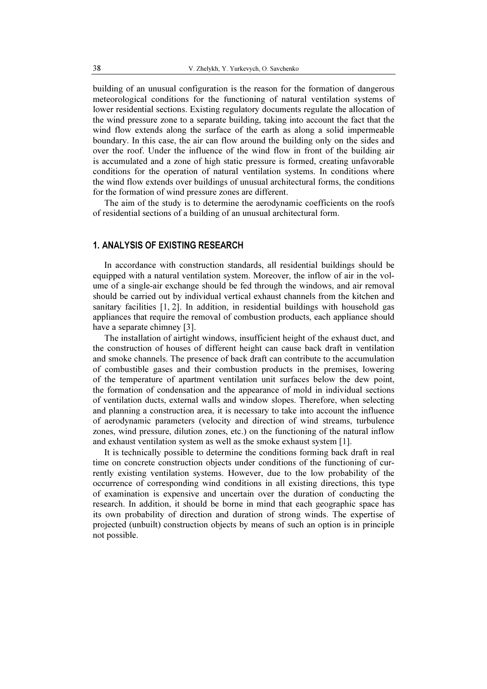building of an unusual configuration is the reason for the formation of dangerous meteorological conditions for the functioning of natural ventilation systems of lower residential sections. Existing regulatory documents regulate the allocation of the wind pressure zone to a separate building, taking into account the fact that the wind flow extends along the surface of the earth as along a solid impermeable boundary. In this case, the air can flow around the building only on the sides and over the roof. Under the influence of the wind flow in front of the building air is accumulated and a zone of high static pressure is formed, creating unfavorable conditions for the operation of natural ventilation systems. In conditions where the wind flow extends over buildings of unusual architectural forms, the conditions for the formation of wind pressure zones are different.

The aim of the study is to determine the aerodynamic coefficients on the roofs of residential sections of a building of an unusual architectural form.

# 1. ANALYSIS OF EXISTING RESEARCH

In accordance with construction standards, all residential buildings should be equipped with a natural ventilation system. Moreover, the inflow of air in the volume of a single-air exchange should be fed through the windows, and air removal should be carried out by individual vertical exhaust channels from the kitchen and sanitary facilities [1, 2]. In addition, in residential buildings with household gas appliances that require the removal of combustion products, each appliance should have a separate chimney [3].

The installation of airtight windows, insufficient height of the exhaust duct, and the construction of houses of different height can cause back draft in ventilation and smoke channels. The presence of back draft can contribute to the accumulation of combustible gases and their combustion products in the premises, lowering of the temperature of apartment ventilation unit surfaces below the dew point, the formation of condensation and the appearance of mold in individual sections of ventilation ducts, external walls and window slopes. Therefore, when selecting and planning a construction area, it is necessary to take into account the influence of aerodynamic parameters (velocity and direction of wind streams, turbulence zones, wind pressure, dilution zones, etc.) on the functioning of the natural inflow and exhaust ventilation system as well as the smoke exhaust system [1].

It is technically possible to determine the conditions forming back draft in real time on concrete construction objects under conditions of the functioning of currently existing ventilation systems. However, due to the low probability of the occurrence of corresponding wind conditions in all existing directions, this type of examination is expensive and uncertain over the duration of conducting the research. In addition, it should be borne in mind that each geographic space has its own probability of direction and duration of strong winds. The expertise of projected (unbuilt) construction objects by means of such an option is in principle not possible.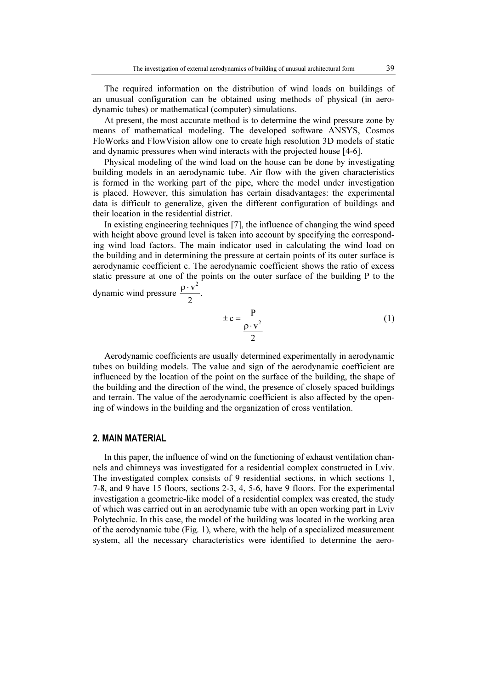The required information on the distribution of wind loads on buildings of an unusual configuration can be obtained using methods of physical (in aerodynamic tubes) or mathematical (computer) simulations.

At present, the most accurate method is to determine the wind pressure zone by means of mathematical modeling. The developed software ANSYS, Cosmos FloWorks and FlowVision allow one to create high resolution 3D models of static and dynamic pressures when wind interacts with the projected house [4-6].

Physical modeling of the wind load on the house can be done by investigating building models in an aerodynamic tube. Air flow with the given characteristics is formed in the working part of the pipe, where the model under investigation is placed. However, this simulation has certain disadvantages: the experimental data is difficult to generalize, given the different configuration of buildings and their location in the residential district.

In existing engineering techniques [7], the influence of changing the wind speed with height above ground level is taken into account by specifying the corresponding wind load factors. The main indicator used in calculating the wind load on the building and in determining the pressure at certain points of its outer surface is aerodynamic coefficient с. The aerodynamic coefficient shows the ratio of excess static pressure at one of the points on the outer surface of the building P to the dynamic wind pressure  $\frac{P}{2}$  $\frac{\rho \cdot v^2}{2}$ .

$$
\pm c = \frac{P}{\frac{\rho \cdot v^2}{2}}
$$
 (1)

Aerodynamic coefficients are usually determined experimentally in aerodynamic tubes on building models. The value and sign of the aerodynamic coefficient are influenced by the location of the point on the surface of the building, the shape of the building and the direction of the wind, the presence of closely spaced buildings and terrain. The value of the aerodynamic coefficient is also affected by the opening of windows in the building and the organization of cross ventilation.

#### 2. MAIN MATERIAL

In this paper, the influence of wind on the functioning of exhaust ventilation channels and chimneys was investigated for a residential complex constructed in Lviv. The investigated complex consists of 9 residential sections, in which sections 1, 7-8, and 9 have 15 floors, sections 2-3, 4, 5-6, have 9 floors. For the experimental investigation a geometric-like model of a residential complex was created, the study of which was carried out in an aerodynamic tube with an open working part in Lviv Polytechnic. In this case, the model of the building was located in the working area of the aerodynamic tube (Fig. 1), where, with the help of a specialized measurement system, all the necessary characteristics were identified to determine the aero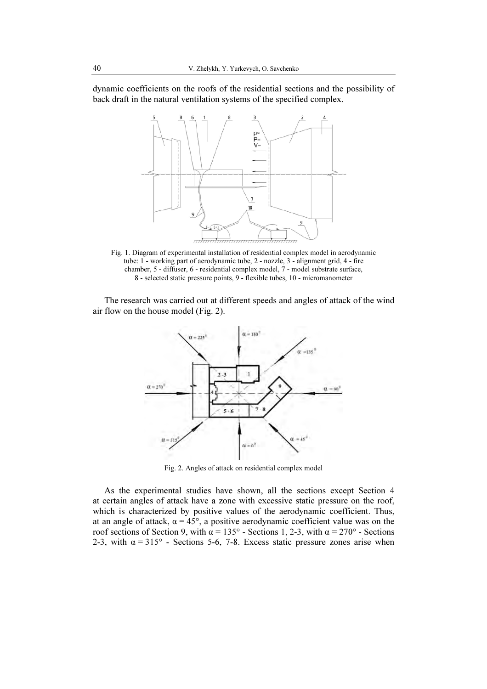dynamic coefficients on the roofs of the residential sections and the possibility of back draft in the natural ventilation systems of the specified complex.



Fig. 1. Diagram of experimental installation of residential complex model in aerodynamic tube: 1 - working part of aerodynamic tube, 2 - nozzle, 3 - alignment grid, 4 - fire chamber, 5 - diffuser, 6 - residential complex model, 7 - model substrate surface, 8 - selected static pressure points, 9 - flexible tubes, 10 - micromanometer

The research was carried out at different speeds and angles of attack of the wind air flow on the house model (Fig. 2).



Fig. 2. Angles of attack on residential complex model

As the experimental studies have shown, all the sections except Section 4 at certain angles of attack have a zone with excessive static pressure on the roof, which is characterized by positive values of the aerodynamic coefficient. Thus, at an angle of attack,  $\alpha = 45^{\circ}$ , a positive aerodynamic coefficient value was on the roof sections of Section 9, with  $\alpha = 135^\circ$  - Sections 1, 2-3, with  $\alpha = 270^\circ$  - Sections 2-3, with  $\alpha = 315^{\circ}$  - Sections 5-6, 7-8. Excess static pressure zones arise when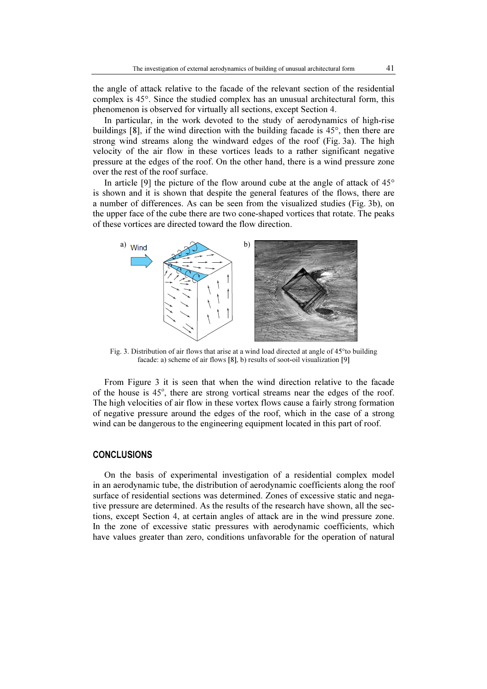the angle of attack relative to the facade of the relevant section of the residential complex is 45°. Since the studied complex has an unusual architectural form, this phenomenon is observed for virtually all sections, except Section 4.

In particular, in the work devoted to the study of aerodynamics of high-rise buildings [8], if the wind direction with the building facade is 45°, then there are strong wind streams along the windward edges of the roof (Fig. 3a). The high velocity of the air flow in these vortices leads to a rather significant negative pressure at the edges of the roof. On the other hand, there is a wind pressure zone over the rest of the roof surface.

In article [9] the picture of the flow around cube at the angle of attack of  $45^\circ$ is shown and it is shown that despite the general features of the flows, there are a number of differences. As can be seen from the visualized studies (Fig. 3b), on the upper face of the cube there are two cone-shaped vortices that rotate. The peaks of these vortices are directed toward the flow direction.



Fig. 3. Distribution of air flows that arise at a wind load directed at angle of 45°to building facade: a) scheme of air flows [8], b) results of soot-oil visualization [9]

From Figure 3 it is seen that when the wind direction relative to the facade of the house is 45°, there are strong vortical streams near the edges of the roof. The high velocities of air flow in these vortex flows cause a fairly strong formation of negative pressure around the edges of the roof, which in the case of a strong wind can be dangerous to the engineering equipment located in this part of roof.

## **CONCLUSIONS**

On the basis of experimental investigation of a residential complex model in an aerodynamic tube, the distribution of aerodynamic coefficients along the roof surface of residential sections was determined. Zones of excessive static and negative pressure are determined. As the results of the research have shown, all the sections, except Section 4, at certain angles of attack are in the wind pressure zone. In the zone of excessive static pressures with aerodynamic coefficients, which have values greater than zero, conditions unfavorable for the operation of natural